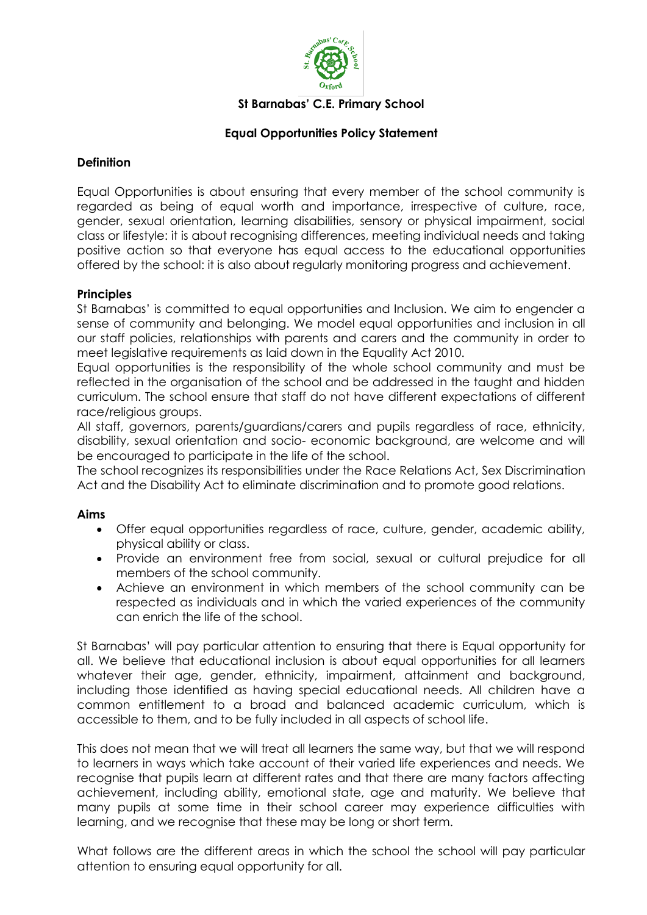

#### **St Barnabas' C.E. Primary School**

### **Equal Opportunities Policy Statement**

#### **Definition**

Equal Opportunities is about ensuring that every member of the school community is regarded as being of equal worth and importance, irrespective of culture, race, gender, sexual orientation, learning disabilities, sensory or physical impairment, social class or lifestyle: it is about recognising differences, meeting individual needs and taking positive action so that everyone has equal access to the educational opportunities offered by the school: it is also about regularly monitoring progress and achievement.

#### **Principles**

St Barnabas' is committed to equal opportunities and Inclusion. We aim to engender a sense of community and belonging. We model equal opportunities and inclusion in all our staff policies, relationships with parents and carers and the community in order to meet legislative requirements as laid down in the Equality Act 2010.

Equal opportunities is the responsibility of the whole school community and must be reflected in the organisation of the school and be addressed in the taught and hidden curriculum. The school ensure that staff do not have different expectations of different race/religious groups.

All staff, governors, parents/guardians/carers and pupils regardless of race, ethnicity, disability, sexual orientation and socio- economic background, are welcome and will be encouraged to participate in the life of the school.

The school recognizes its responsibilities under the Race Relations Act, Sex Discrimination Act and the Disability Act to eliminate discrimination and to promote good relations.

### **Aims**

- Offer equal opportunities regardless of race, culture, gender, academic ability, physical ability or class.
- Provide an environment free from social, sexual or cultural prejudice for all members of the school community.
- Achieve an environment in which members of the school community can be respected as individuals and in which the varied experiences of the community can enrich the life of the school.

St Barnabas' will pay particular attention to ensuring that there is Equal opportunity for all. We believe that educational inclusion is about equal opportunities for all learners whatever their age, gender, ethnicity, impairment, attainment and background, including those identified as having special educational needs. All children have a common entitlement to a broad and balanced academic curriculum, which is accessible to them, and to be fully included in all aspects of school life.

This does not mean that we will treat all learners the same way, but that we will respond to learners in ways which take account of their varied life experiences and needs. We recognise that pupils learn at different rates and that there are many factors affecting achievement, including ability, emotional state, age and maturity. We believe that many pupils at some time in their school career may experience difficulties with learning, and we recognise that these may be long or short term.

What follows are the different areas in which the school the school will pay particular attention to ensuring equal opportunity for all.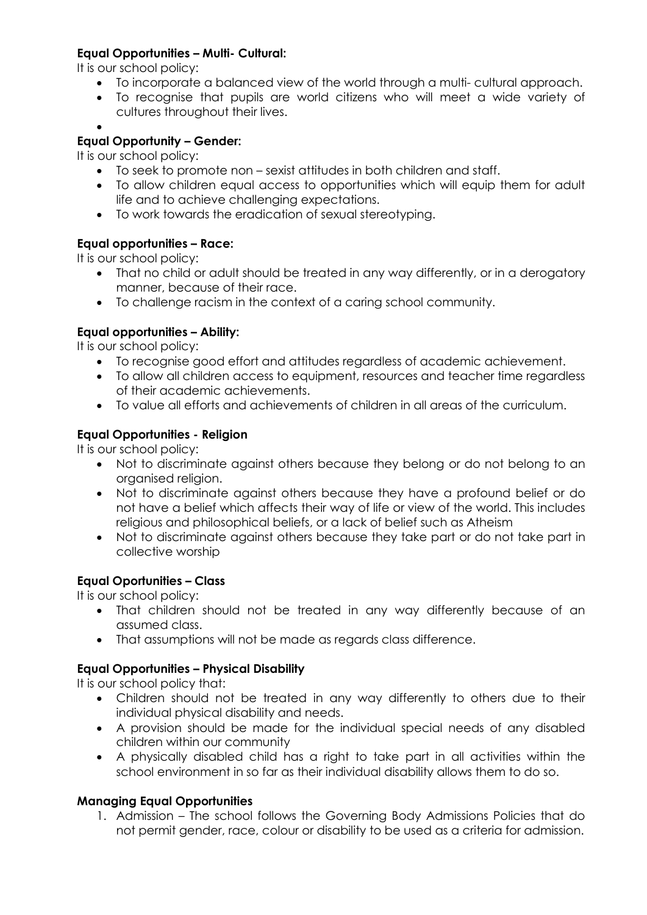# **Equal Opportunities – Multi- Cultural:**

It is our school policy:

- To incorporate a balanced view of the world through a multi- cultural approach.
- To recognise that pupils are world citizens who will meet a wide variety of cultures throughout their lives.
- $\bullet$

# **Equal Opportunity – Gender:**

It is our school policy:

- To seek to promote non sexist attitudes in both children and staff.
- To allow children equal access to opportunities which will equip them for adult life and to achieve challenging expectations.
- To work towards the eradication of sexual stereotyping.

# **Equal opportunities – Race:**

It is our school policy:

- That no child or adult should be treated in any way differently, or in a derogatory manner, because of their race.
- To challenge racism in the context of a caring school community.

# **Equal opportunities – Ability:**

It is our school policy:

- To recognise good effort and attitudes regardless of academic achievement.
- To allow all children access to equipment, resources and teacher time regardless of their academic achievements.
- To value all efforts and achievements of children in all areas of the curriculum.

# **Equal Opportunities - Religion**

It is our school policy:

- Not to discriminate against others because they belong or do not belong to an organised religion.
- Not to discriminate against others because they have a profound belief or do not have a belief which affects their way of life or view of the world. This includes religious and philosophical beliefs, or a lack of belief such as Atheism
- Not to discriminate against others because they take part or do not take part in collective worship

### **Equal Oportunities – Class**

It is our school policy:

- That children should not be treated in any way differently because of an assumed class.
- That assumptions will not be made as regards class difference.

### **Equal Opportunities – Physical Disability**

It is our school policy that:

- Children should not be treated in any way differently to others due to their individual physical disability and needs.
- A provision should be made for the individual special needs of any disabled children within our community
- A physically disabled child has a right to take part in all activities within the school environment in so far as their individual disability allows them to do so.

### **Managing Equal Opportunities**

1. Admission – The school follows the Governing Body Admissions Policies that do not permit gender, race, colour or disability to be used as a criteria for admission.